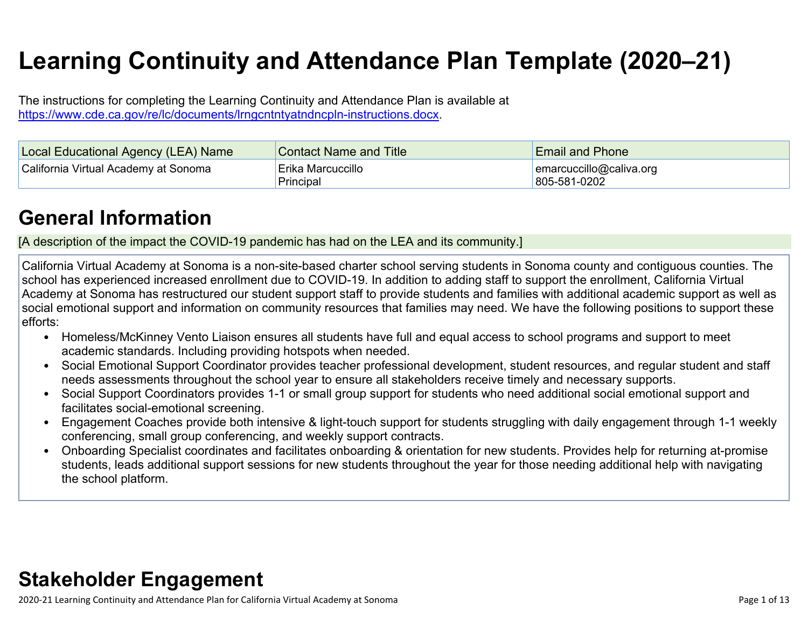# **Learning Continuity and Attendance Plan Template (2020–21)**

The instructions for completing the Learning Continuity and Attendance Plan is available at <https://www.cde.ca.gov/re/lc/documents/lrngcntntyatndncpln-instructions.docx>.

| Local Educational Agency (LEA) Name  | <b>Contact Name and Title</b>  | <b>Email and Phone</b>                      |
|--------------------------------------|--------------------------------|---------------------------------------------|
| California Virtual Academy at Sonoma | Erika Marcuccillo<br>Principal | $ $ emarcuccillo@caliva.org<br>805-581-0202 |

### **General [Information](http://www.doc-tracking.com/screenshots/20LCP/Instructions/20LCPInstructions.htm#generalinformation)**

[A description of the impact the COVID-19 pandemic has had on the LEA and its community.]

California Virtual Academy at Sonoma is a non-site-based charter school serving students in Sonoma county and contiguous counties. The school has experienced increased enrollment due to COVID-19. In addition to adding staff to support the enrollment, California Virtual Academy at Sonoma has restructured our student support staff to provide students and families with additional academic support as well as social emotional support and information on community resources that families may need. We have the following positions to support these efforts:

- Homeless/McKinney Vento Liaison ensures all students have full and equal access to school programs and support to meet academic standards. Including providing hotspots when needed.
- Social Emotional Support Coordinator provides teacher professional development, student resources, and regular student and staff needs assessments throughout the school year to ensure all stakeholders receive timely and necessary supports.
- Social Support Coordinators provides 1-1 or small group support for students who need additional social emotional support and facilitates social-emotional screening.
- Engagement Coaches provide both intensive & light-touch support for students struggling with daily engagement through 1-1 weekly conferencing, small group conferencing, and weekly support contracts.
- Onboarding Specialist coordinates and facilitates onboarding & orientation for new students. Provides help for returning at-promise students, leads additional support sessions for new students throughout the year for those needing additional help with navigating the school platform.

### **Stakeholder [Engagement](http://www.doc-tracking.com/screenshots/20LCP/Instructions/20LCPInstructions.htm#stakeholderengagement)**

2020-21 Learning Continuity and Attendance Plan for California Virtual Academy at Sonoma Page 1 of 13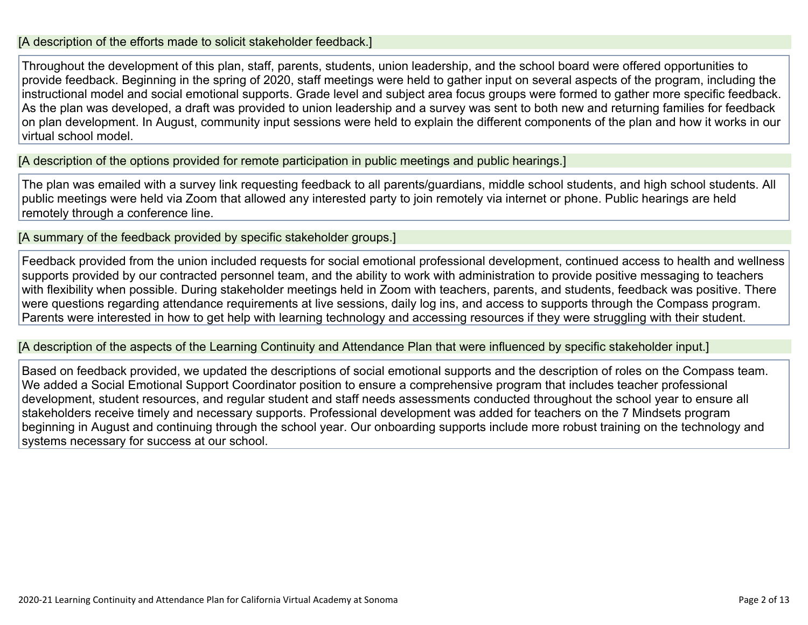#### [A description of the efforts made to solicit stakeholder feedback.]

Throughout the development of this plan, staff, parents, students, union leadership, and the school board were offered opportunities to provide feedback. Beginning in the spring of 2020, staff meetings were held to gather input on several aspects of the program, including the instructional model and social emotional supports. Grade level and subject area focus groups were formed to gather more specific feedback. As the plan was developed, a draft was provided to union leadership and a survey was sent to both new and returning families for feedback on plan development. In August, community input sessions were held to explain the different components of the plan and how it works in our virtual school model.

[A description of the options provided for remote participation in public meetings and public hearings.]

The plan was emailed with a survey link requesting feedback to all parents/guardians, middle school students, and high school students. All public meetings were held via Zoom that allowed any interested party to join remotely via internet or phone. Public hearings are held remotely through a conference line.

[A summary of the feedback provided by specific stakeholder groups.]

Feedback provided from the union included requests for social emotional professional development, continued access to health and wellness supports provided by our contracted personnel team, and the ability to work with administration to provide positive messaging to teachers with flexibility when possible. During stakeholder meetings held in Zoom with teachers, parents, and students, feedback was positive. There were questions regarding attendance requirements at live sessions, daily log ins, and access to supports through the Compass program. Parents were interested in how to get help with learning technology and accessing resources if they were struggling with their student.

[A description of the aspects of the Learning Continuity and Attendance Plan that were influenced by specific stakeholder input.]

Based on feedback provided, we updated the descriptions of social emotional supports and the description of roles on the Compass team. We added a Social Emotional Support Coordinator position to ensure a comprehensive program that includes teacher professional development, student resources, and regular student and staff needs assessments conducted throughout the school year to ensure all stakeholders receive timely and necessary supports. Professional development was added for teachers on the 7 Mindsets program beginning in August and continuing through the school year. Our onboarding supports include more robust training on the technology and systems necessary for success at our school.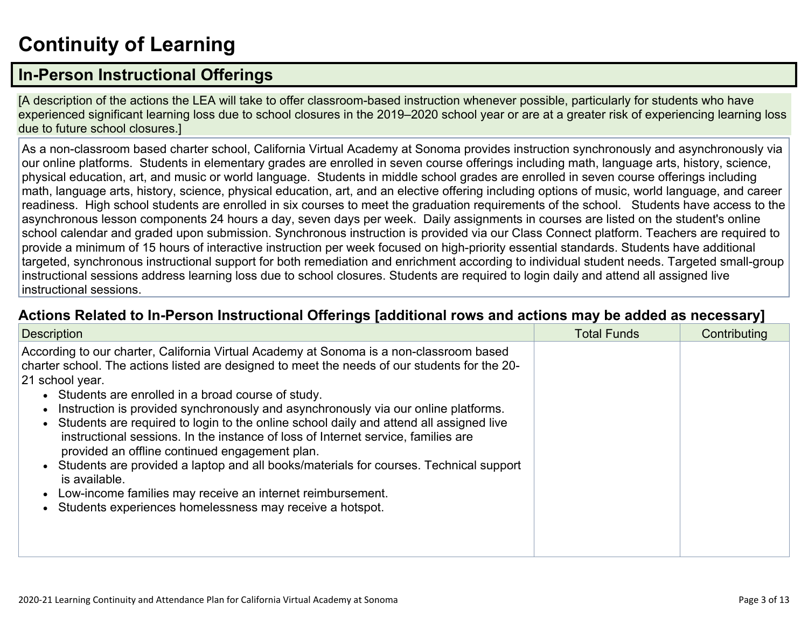# **[Continuity](http://www.doc-tracking.com/screenshots/20LCP/Instructions/20LCPInstructions.htm#ContinuityofLearning) of Learnin[g](http://www.doc-tracking.com/screenshots/20LCP/Instructions/20LCPInstructions.htm#ContinuityofLearning)**

### **In-Person [Instructional](http://www.doc-tracking.com/screenshots/20LCP/Instructions/20LCPInstructions.htm#ContinuityofLearning1) Offerings**

[A description of the actions the LEA will take to offer classroom-based instruction whenever possible, particularly for students who have experienced significant learning loss due to school closures in the 2019–2020 school year or are at a greater risk of experiencing learning loss due to future school closures.]

As a non-classroom based charter school, California Virtual Academy at Sonoma provides instruction synchronously and asynchronously via our online platforms. Students in elementary grades are enrolled in seven course offerings including math, language arts, history, science, physical education, art, and music or world language. Students in middle school grades are enrolled in seven course offerings including math, language arts, history, science, physical education, art, and an elective offering including options of music, world language, and career readiness. High school students are enrolled in six courses to meet the graduation requirements of the school. Students have access to the asynchronous lesson components 24 hours a day, seven days per week. Daily assignments in courses are listed on the student's online school calendar and graded upon submission. Synchronous instruction is provided via our Class Connect platform. Teachers are required to provide a minimum of 15 hours of interactive instruction per week focused on high-priority essential standards. Students have additional targeted, synchronous instructional support for both remediation and enrichment according to individual student needs. Targeted small-group instructional sessions address learning loss due to school closures. Students are required to login daily and attend all assigned live instructional sessions.

#### **Actions Related to In-Person [Instructional](http://www.doc-tracking.com/screenshots/20LCP/Instructions/20LCPInstructions.htm#ContinuityofLearning2) Offerings [additional rows and actions may be added as necessary]**

| <b>Description</b>                                                                                                                                                                                                                                                                                                                                                                                                                                                                                                                                                                                                                                                                                                                                                                                                              | <b>Total Funds</b> | Contributing |
|---------------------------------------------------------------------------------------------------------------------------------------------------------------------------------------------------------------------------------------------------------------------------------------------------------------------------------------------------------------------------------------------------------------------------------------------------------------------------------------------------------------------------------------------------------------------------------------------------------------------------------------------------------------------------------------------------------------------------------------------------------------------------------------------------------------------------------|--------------------|--------------|
| According to our charter, California Virtual Academy at Sonoma is a non-classroom based<br>charter school. The actions listed are designed to meet the needs of our students for the 20-<br>21 school year.<br>• Students are enrolled in a broad course of study.<br>Instruction is provided synchronously and asynchronously via our online platforms.<br>• Students are required to login to the online school daily and attend all assigned live<br>instructional sessions. In the instance of loss of Internet service, families are<br>provided an offline continued engagement plan.<br>Students are provided a laptop and all books/materials for courses. Technical support<br>is available.<br>Low-income families may receive an internet reimbursement.<br>Students experiences homelessness may receive a hotspot. |                    |              |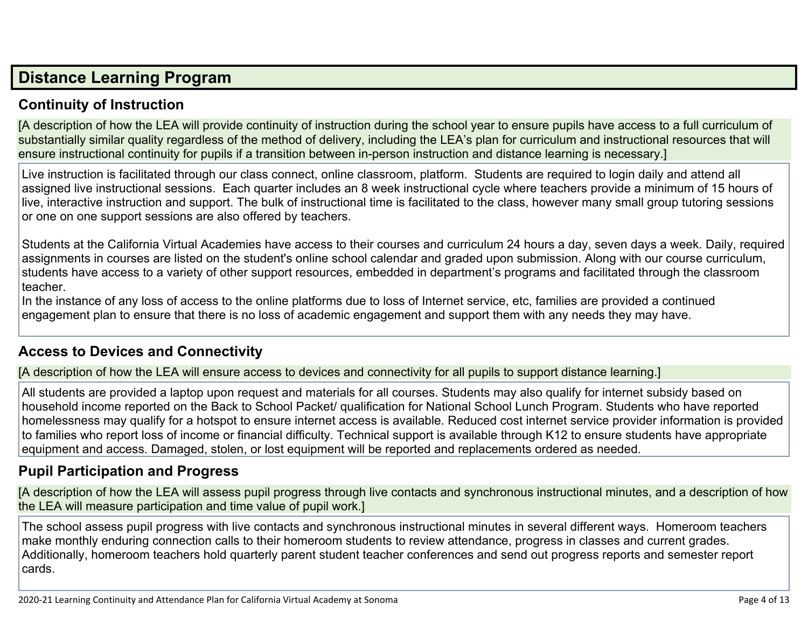### **Distance [Learning](http://www.doc-tracking.com/screenshots/20LCP/Instructions/20LCPInstructions.htm#DistanceLearningProgram) Program**

#### **Continuity of [Instruction](http://www.doc-tracking.com/screenshots/20LCP/Instructions/20LCPInstructions.htm#DistanceLearningProgram1)**

[A description of how the LEA will provide continuity of instruction during the school year to ensure pupils have access to a full curriculum of substantially similar quality regardless of the method of delivery, including the LEA's plan for curriculum and instructional resources that will ensure instructional continuity for pupils if a transition between in-person instruction and distance learning is necessary.]

Live instruction is facilitated through our class connect, online classroom, platform. Students are required to login daily and attend all assigned live instructional sessions. Each quarter includes an 8 week instructional cycle where teachers provide a minimum of 15 hours of live, interactive instruction and support. The bulk of instructional time is facilitated to the class, however many small group tutoring sessions or one on one support sessions are also offered by teachers.

Students at the California Virtual Academies have access to their courses and curriculum 24 hours a day, seven days a week. Daily, required assignments in courses are listed on the student's online school calendar and graded upon submission. Along with our course curriculum, students have access to a variety of other support resources, embedded in department's programs and facilitated through the classroom teacher.

In the instance of any loss of access to the online platforms due to loss of Internet service, etc, families are provided a continued engagement plan to ensure that there is no loss of academic engagement and support them with any needs they may have.

#### **Access to Devices and [Connectivity](http://www.doc-tracking.com/screenshots/20LCP/Instructions/20LCPInstructions.htm#DistanceLearningProgram2)**

[A description of how the LEA will ensure access to devices and connectivity for all pupils to support distance learning.]

All students are provided a laptop upon request and materials for all courses. Students may also qualify for internet subsidy based on household income reported on the Back to School Packet/ qualification for National School Lunch Program. Students who have reported homelessness may qualify for a hotspot to ensure internet access is available. Reduced cost internet service provider information is provided to families who report loss of income or financial difficulty. Technical support is available through K12 to ensure students have appropriate equipment and access. Damaged, stolen, or lost equipment will be reported and replacements ordered as needed.

#### **Pupil [Participation](http://www.doc-tracking.com/screenshots/20LCP/Instructions/20LCPInstructions.htm#DistanceLearningProgram3) and Progress**

[A description of how the LEA will assess pupil progress through live contacts and synchronous instructional minutes, and a description of how the LEA will measure participation and time value of pupil work.]

The school assess pupil progress with live contacts and synchronous instructional minutes in several different ways. Homeroom teachers make monthly enduring connection calls to their homeroom students to review attendance, progress in classes and current grades. Additionally, homeroom teachers hold quarterly parent student teacher conferences and send out progress reports and semester report cards.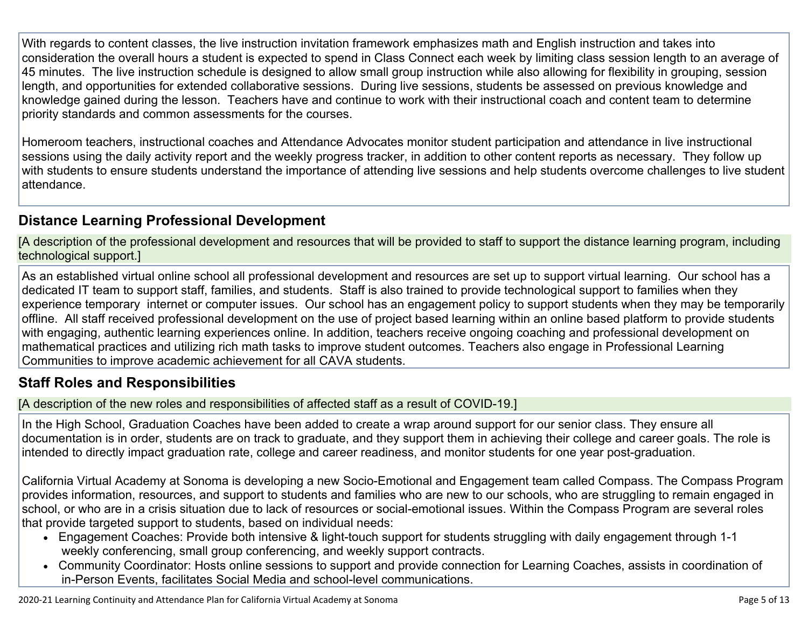With regards to content classes, the live instruction invitation framework emphasizes math and English instruction and takes into consideration the overall hours a student is expected to spend in Class Connect each week by limiting class session length to an average of 45 minutes. The live instruction schedule is designed to allow small group instruction while also allowing for flexibility in grouping, session length, and opportunities for extended collaborative sessions. During live sessions, students be assessed on previous knowledge and knowledge gained during the lesson. Teachers have and continue to work with their instructional coach and content team to determine priority standards and common assessments for the courses.

Homeroom teachers, instructional coaches and Attendance Advocates monitor student participation and attendance in live instructional sessions using the daily activity report and the weekly progress tracker, in addition to other content reports as necessary. They follow up with students to ensure students understand the importance of attending live sessions and help students overcome challenges to live student attendance.

#### **Distance Learning Professional [Development](http://www.doc-tracking.com/screenshots/20LCP/Instructions/20LCPInstructions.htm#DistanceLearningProgram4)**

[A description of the professional development and resources that will be provided to staff to support the distance learning program, including technological support.]

As an established virtual online school all professional development and resources are set up to support virtual learning. Our school has a dedicated IT team to support staff, families, and students. Staff is also trained to provide technological support to families when they experience temporary internet or computer issues. Our school has an engagement policy to support students when they may be temporarily offline. All staff received professional development on the use of project based learning within an online based platform to provide students with engaging, authentic learning experiences online. In addition, teachers receive ongoing coaching and professional development on mathematical practices and utilizing rich math tasks to improve student outcomes. Teachers also engage in Professional Learning Communities to improve academic achievement for all CAVA students.

#### **Staff Roles and [Responsibilities](http://www.doc-tracking.com/screenshots/20LCP/Instructions/20LCPInstructions.htm#DistanceLearningProgram5)**

[A description of the new roles and responsibilities of affected staff as a result of COVID-19.]

In the High School, Graduation Coaches have been added to create a wrap around support for our senior class. They ensure all documentation is in order, students are on track to graduate, and they support them in achieving their college and career goals. The role is intended to directly impact graduation rate, college and career readiness, and monitor students for one year post-graduation.

California Virtual Academy at Sonoma is developing a new Socio-Emotional and Engagement team called Compass. The Compass Program provides information, resources, and support to students and families who are new to our schools, who are struggling to remain engaged in school, or who are in a crisis situation due to lack of resources or social-emotional issues. Within the Compass Program are several roles that provide targeted support to students, based on individual needs:

- Engagement Coaches: Provide both intensive & light-touch support for students struggling with daily engagement through 1-1 weekly conferencing, small group conferencing, and weekly support contracts.
- Community Coordinator: Hosts online sessions to support and provide connection for Learning Coaches, assists in coordination of in-Person Events, facilitates Social Media and school-level communications.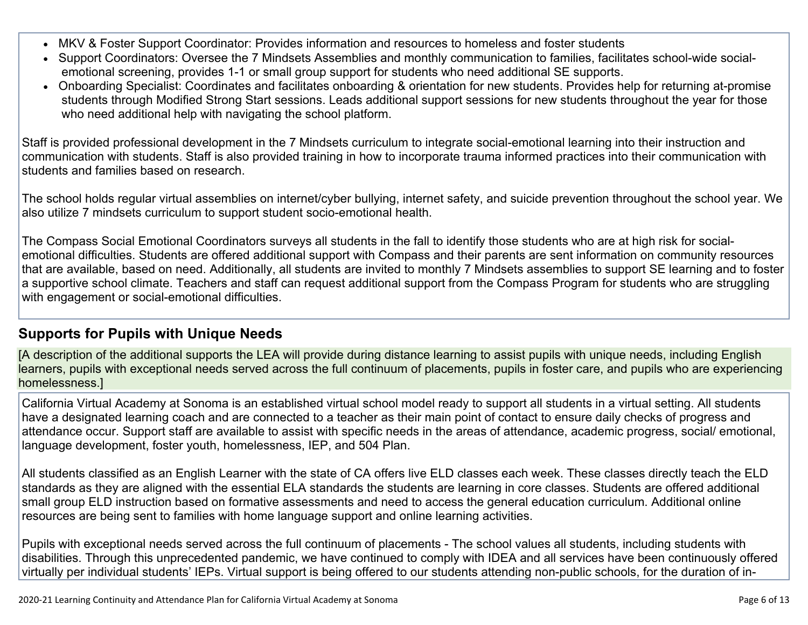- MKV & Foster Support Coordinator: Provides information and resources to homeless and foster students
- Support Coordinators: Oversee the 7 Mindsets Assemblies and monthly communication to families, facilitates school-wide socialemotional screening, provides 1-1 or small group support for students who need additional SE supports.
- Onboarding Specialist: Coordinates and facilitates onboarding & orientation for new students. Provides help for returning at-promise students through Modified Strong Start sessions. Leads additional support sessions for new students throughout the year for those who need additional help with navigating the school platform.

Staff is provided professional development in the 7 Mindsets curriculum to integrate social-emotional learning into their instruction and communication with students. Staff is also provided training in how to incorporate trauma informed practices into their communication with students and families based on research.

The school holds regular virtual assemblies on internet/cyber bullying, internet safety, and suicide prevention throughout the school year. We also utilize 7 mindsets curriculum to support student socio-emotional health.

The Compass Social Emotional Coordinators surveys all students in the fall to identify those students who are at high risk for socialemotional difficulties. Students are offered additional support with Compass and their parents are sent information on community resources that are available, based on need. Additionally, all students are invited to monthly 7 Mindsets assemblies to support SE learning and to foster a supportive school climate. Teachers and staff can request additional support from the Compass Program for students who are struggling with engagement or social-emotional difficulties.

#### **[Supports](http://www.doc-tracking.com/screenshots/20LCP/Instructions/20LCPInstructions.htm#DistanceLearningProgram6) for Pupils with Unique Needs**

[A description of the additional supports the LEA will provide during distance learning to assist pupils with unique needs, including English learners, pupils with exceptional needs served across the full continuum of placements, pupils in foster care, and pupils who are experiencing homelessness.]

California Virtual Academy at Sonoma is an established virtual school model ready to support all students in a virtual setting. All students have a designated learning coach and are connected to a teacher as their main point of contact to ensure daily checks of progress and attendance occur. Support staff are available to assist with specific needs in the areas of attendance, academic progress, social/ emotional, language development, foster youth, homelessness, IEP, and 504 Plan.

All students classified as an English Learner with the state of CA offers live ELD classes each week. These classes directly teach the ELD standards as they are aligned with the essential ELA standards the students are learning in core classes. Students are offered additional small group ELD instruction based on formative assessments and need to access the general education curriculum. Additional online resources are being sent to families with home language support and online learning activities.

Pupils with exceptional needs served across the full continuum of placements - The school values all students, including students with disabilities. Through this unprecedented pandemic, we have continued to comply with IDEA and all services have been continuously offered virtually per individual students' IEPs. Virtual support is being offered to our students attending non-public schools, for the duration of in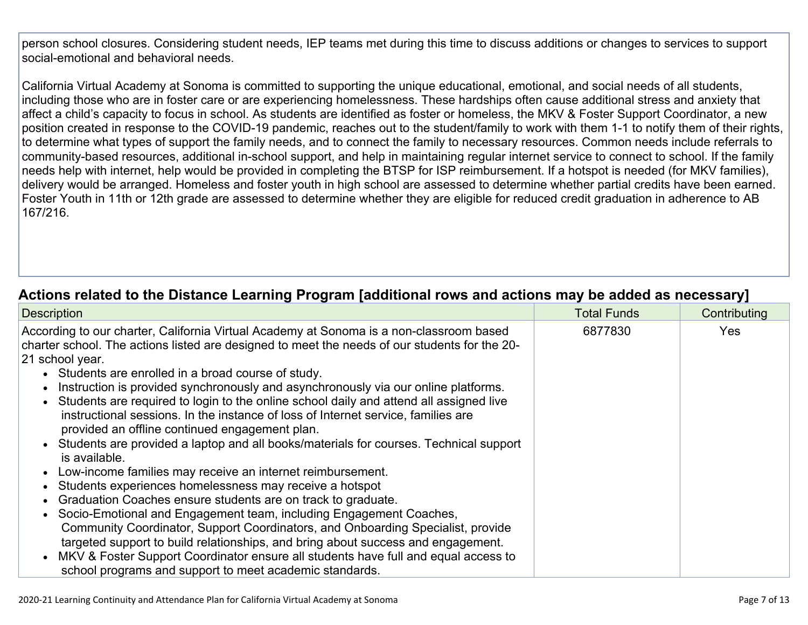person school closures. Considering student needs, IEP teams met during this time to discuss additions or changes to services to support social-emotional and behavioral needs.

California Virtual Academy at Sonoma is committed to supporting the unique educational, emotional, and social needs of all students, including those who are in foster care or are experiencing homelessness. These hardships often cause additional stress and anxiety that affect a child's capacity to focus in school. As students are identified as foster or homeless, the MKV & Foster Support Coordinator, a new position created in response to the COVID-19 pandemic, reaches out to the student/family to work with them 1-1 to notify them of their rights, to determine what types of support the family needs, and to connect the family to necessary resources. Common needs include referrals to community-based resources, additional in-school support, and help in maintaining regular internet service to connect to school. If the family needs help with internet, help would be provided in completing the BTSP for ISP reimbursement. If a hotspot is needed (for MKV families), delivery would be arranged. Homeless and foster youth in high school are assessed to determine whether partial credits have been earned. Foster Youth in 11th or 12th grade are assessed to determine whether they are eligible for reduced credit graduation in adherence to AB 167/216.

#### **Actions related to the Distance Learning Program [additional rows and actions may be added as [necessary\]](http://www.doc-tracking.com/screenshots/20LCP/Instructions/20LCPInstructions.htm#DistanceLearningProgram7)**

| <b>Description</b>                                                                                                                                                                                                                                                                                                                                                                                                                                                                                                                                                                                                                                                                                                                                                                                                                                                                                                                                                                                                                                    | <b>Total Funds</b> | Contributing |
|-------------------------------------------------------------------------------------------------------------------------------------------------------------------------------------------------------------------------------------------------------------------------------------------------------------------------------------------------------------------------------------------------------------------------------------------------------------------------------------------------------------------------------------------------------------------------------------------------------------------------------------------------------------------------------------------------------------------------------------------------------------------------------------------------------------------------------------------------------------------------------------------------------------------------------------------------------------------------------------------------------------------------------------------------------|--------------------|--------------|
| According to our charter, California Virtual Academy at Sonoma is a non-classroom based<br>charter school. The actions listed are designed to meet the needs of our students for the 20-<br>21 school year.<br>• Students are enrolled in a broad course of study.<br>Instruction is provided synchronously and asynchronously via our online platforms.<br>Students are required to login to the online school daily and attend all assigned live<br>instructional sessions. In the instance of loss of Internet service, families are<br>provided an offline continued engagement plan.<br>Students are provided a laptop and all books/materials for courses. Technical support<br>is available.<br>Low-income families may receive an internet reimbursement.<br>Students experiences homelessness may receive a hotspot<br>Graduation Coaches ensure students are on track to graduate.<br>Socio-Emotional and Engagement team, including Engagement Coaches,<br>Community Coordinator, Support Coordinators, and Onboarding Specialist, provide | 6877830            | <b>Yes</b>   |
| targeted support to build relationships, and bring about success and engagement.<br>• MKV & Foster Support Coordinator ensure all students have full and equal access to<br>school programs and support to meet academic standards.                                                                                                                                                                                                                                                                                                                                                                                                                                                                                                                                                                                                                                                                                                                                                                                                                   |                    |              |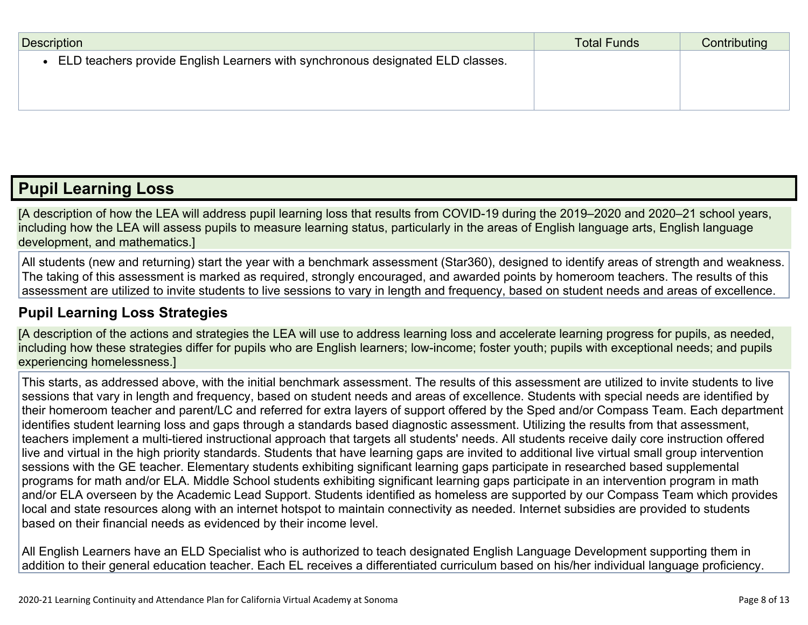| Description                                                                    | <b>Total Funds</b> | Contributing |
|--------------------------------------------------------------------------------|--------------------|--------------|
| ELD teachers provide English Learners with synchronous designated ELD classes. |                    |              |
|                                                                                |                    |              |
|                                                                                |                    |              |

### **Pupil [Learning](http://www.doc-tracking.com/screenshots/20LCP/Instructions/20LCPInstructions.htm#PupilLearningLoss) Loss**

[A description of how the LEA will address pupil learning loss that results from COVID-19 during the 2019–2020 and 2020–21 school years, including how the LEA will assess pupils to measure learning status, particularly in the areas of English language arts, English language development, and mathematics.]

All students (new and returning) start the year with a benchmark assessment (Star360), designed to identify areas of strength and weakness. The taking of this assessment is marked as required, strongly encouraged, and awarded points by homeroom teachers. The results of this assessment are utilized to invite students to live sessions to vary in length and frequency, based on student needs and areas of excellence.

#### **Pupil Learning Loss [Strategies](http://www.doc-tracking.com/screenshots/20LCP/Instructions/20LCPInstructions.htm#PupilLearningLoss1)**

[A description of the actions and strategies the LEA will use to address learning loss and accelerate learning progress for pupils, as needed, including how these strategies differ for pupils who are English learners; low-income; foster youth; pupils with exceptional needs; and pupils experiencing homelessness.]

This starts, as addressed above, with the initial benchmark assessment. The results of this assessment are utilized to invite students to live sessions that vary in length and frequency, based on student needs and areas of excellence. Students with special needs are identified by their homeroom teacher and parent/LC and referred for extra layers of support offered by the Sped and/or Compass Team. Each department identifies student learning loss and gaps through a standards based diagnostic assessment. Utilizing the results from that assessment, teachers implement a multi-tiered instructional approach that targets all students' needs. All students receive daily core instruction offered live and virtual in the high priority standards. Students that have learning gaps are invited to additional live virtual small group intervention sessions with the GE teacher. Elementary students exhibiting significant learning gaps participate in researched based supplemental programs for math and/or ELA. Middle School students exhibiting significant learning gaps participate in an intervention program in math and/or ELA overseen by the Academic Lead Support. Students identified as homeless are supported by our Compass Team which provides local and state resources along with an internet hotspot to maintain connectivity as needed. Internet subsidies are provided to students based on their financial needs as evidenced by their income level.

All English Learners have an ELD Specialist who is authorized to teach designated English Language Development supporting them in addition to their general education teacher. Each EL receives a differentiated curriculum based on his/her individual language proficiency.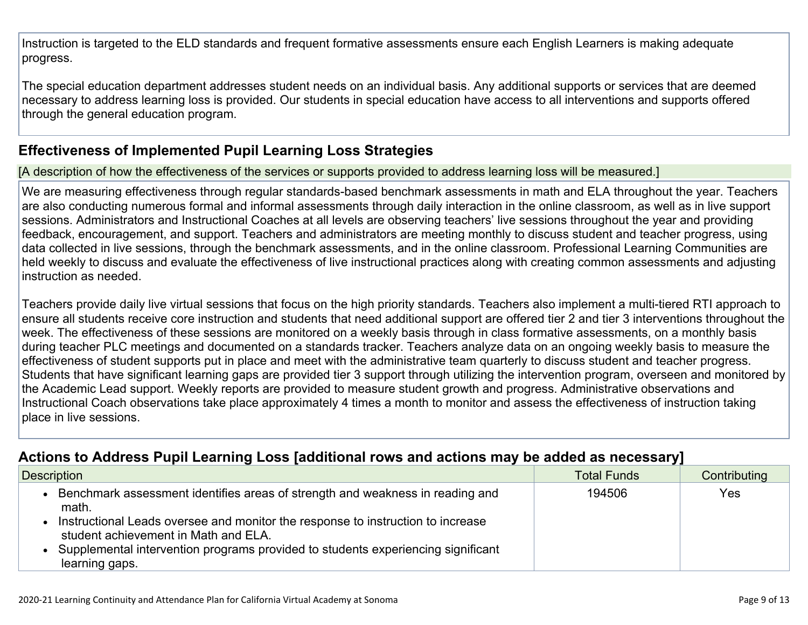Instruction is targeted to the ELD standards and frequent formative assessments ensure each English Learners is making adequate progress.

The special education department addresses student needs on an individual basis. Any additional supports or services that are deemed necessary to address learning loss is provided. Our students in special education have access to all interventions and supports offered through the general education program.

#### **[Effectiveness](http://www.doc-tracking.com/screenshots/20LCP/Instructions/20LCPInstructions.htm#PupilLearningLoss2) of Implemented Pupil Learning Loss Strategies**

[A description of how the effectiveness of the services or supports provided to address learning loss will be measured.]

We are measuring effectiveness through regular standards-based benchmark assessments in math and ELA throughout the year. Teachers are also conducting numerous formal and informal assessments through daily interaction in the online classroom, as well as in live support sessions. Administrators and Instructional Coaches at all levels are observing teachers' live sessions throughout the year and providing feedback, encouragement, and support. Teachers and administrators are meeting monthly to discuss student and teacher progress, using data collected in live sessions, through the benchmark assessments, and in the online classroom. Professional Learning Communities are held weekly to discuss and evaluate the effectiveness of live instructional practices along with creating common assessments and adjusting instruction as needed.

Teachers provide daily live virtual sessions that focus on the high priority standards. Teachers also implement a multi-tiered RTI approach to ensure all students receive core instruction and students that need additional support are offered tier 2 and tier 3 interventions throughout the week. The effectiveness of these sessions are monitored on a weekly basis through in class formative assessments, on a monthly basis during teacher PLC meetings and documented on a standards tracker. Teachers analyze data on an ongoing weekly basis to measure the effectiveness of student supports put in place and meet with the administrative team quarterly to discuss student and teacher progress. Students that have significant learning gaps are provided tier 3 support through utilizing the intervention program, overseen and monitored by the Academic Lead support. Weekly reports are provided to measure student growth and progress. Administrative observations and Instructional Coach observations take place approximately 4 times a month to monitor and assess the effectiveness of instruction taking place in live sessions.

#### **Actions to Address Pupil Learning Loss [additional rows and actions may be added as [necessary\]](http://www.doc-tracking.com/screenshots/20LCP/Instructions/20LCPInstructions.htm#PupilLearningLoss4)**

| Description                                                                                                             | <b>Total Funds</b> | Contributing |
|-------------------------------------------------------------------------------------------------------------------------|--------------------|--------------|
| Benchmark assessment identifies areas of strength and weakness in reading and<br>math.                                  | 194506             | Yes          |
| Instructional Leads oversee and monitor the response to instruction to increase<br>student achievement in Math and ELA. |                    |              |
| Supplemental intervention programs provided to students experiencing significant<br>learning gaps.                      |                    |              |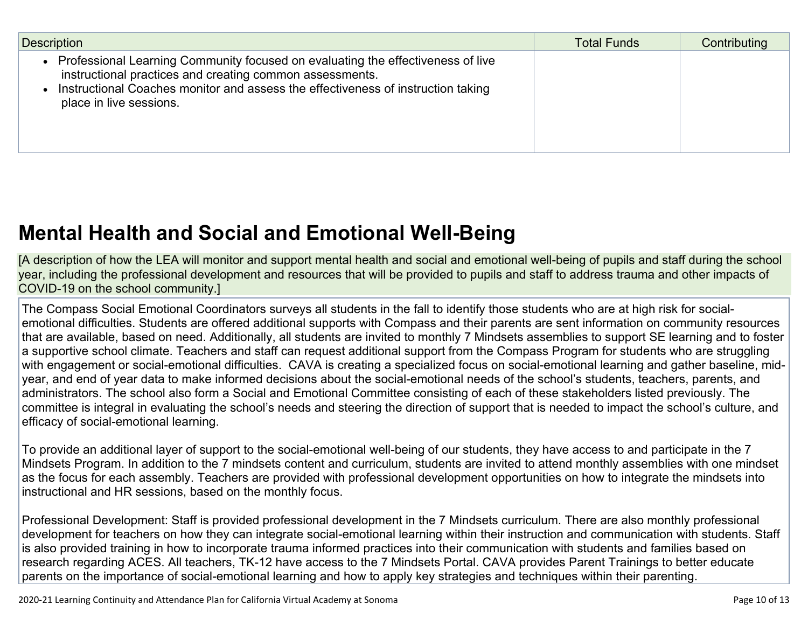| <b>Description</b>                                                                                                                                                                                                                                         | <b>Total Funds</b> | Contributing |
|------------------------------------------------------------------------------------------------------------------------------------------------------------------------------------------------------------------------------------------------------------|--------------------|--------------|
| Professional Learning Community focused on evaluating the effectiveness of live<br>instructional practices and creating common assessments.<br>Instructional Coaches monitor and assess the effectiveness of instruction taking<br>place in live sessions. |                    |              |

# **Mental Health and Social and Emotional [Well-Being](http://www.doc-tracking.com/screenshots/20LCP/Instructions/20LCPInstructions.htm#MentalHealthandSocialandEmotional)**

[A description of how the LEA will monitor and support mental health and social and emotional well-being of pupils and staff during the school year, including the professional development and resources that will be provided to pupils and staff to address trauma and other impacts of COVID-19 on the school community.]

The Compass Social Emotional Coordinators surveys all students in the fall to identify those students who are at high risk for socialemotional difficulties. Students are offered additional supports with Compass and their parents are sent information on community resources that are available, based on need. Additionally, all students are invited to monthly 7 Mindsets assemblies to support SE learning and to foster a supportive school climate. Teachers and staff can request additional support from the Compass Program for students who are struggling with engagement or social-emotional difficulties. CAVA is creating a specialized focus on social-emotional learning and gather baseline, midyear, and end of year data to make informed decisions about the social-emotional needs of the school's students, teachers, parents, and administrators. The school also form a Social and Emotional Committee consisting of each of these stakeholders listed previously. The committee is integral in evaluating the school's needs and steering the direction of support that is needed to impact the school's culture, and efficacy of social-emotional learning.

To provide an additional layer of support to the social-emotional well-being of our students, they have access to and participate in the 7 Mindsets Program. In addition to the 7 mindsets content and curriculum, students are invited to attend monthly assemblies with one mindset as the focus for each assembly. Teachers are provided with professional development opportunities on how to integrate the mindsets into instructional and HR sessions, based on the monthly focus.

Professional Development: Staff is provided professional development in the 7 Mindsets curriculum. There are also monthly professional development for teachers on how they can integrate social-emotional learning within their instruction and communication with students. Staff is also provided training in how to incorporate trauma informed practices into their communication with students and families based on research regarding ACES. All teachers, TK-12 have access to the 7 Mindsets Portal. CAVA provides Parent Trainings to better educate parents on the importance of social-emotional learning and how to apply key strategies and techniques within their parenting.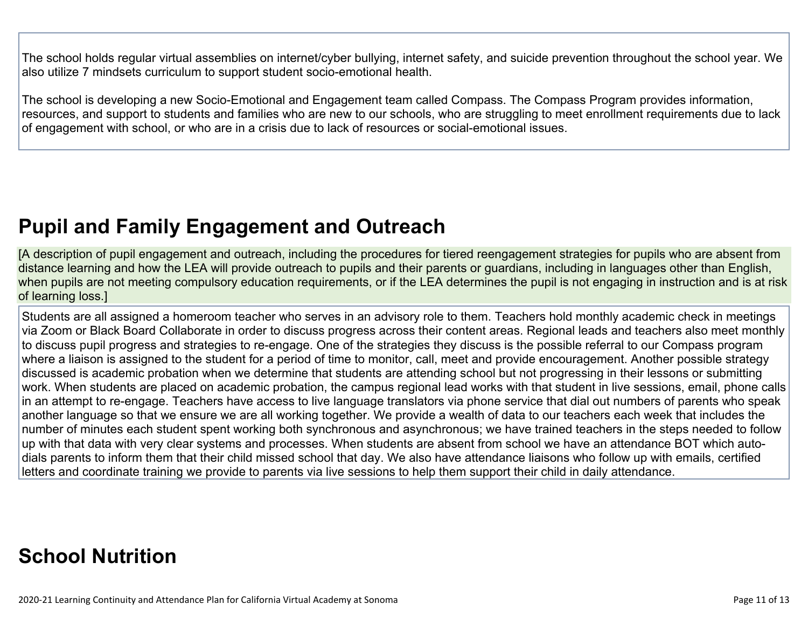The school holds regular virtual assemblies on internet/cyber bullying, internet safety, and suicide prevention throughout the school year. We also utilize 7 mindsets curriculum to support student socio-emotional health.

The school is developing a new Socio-Emotional and Engagement team called Compass. The Compass Program provides information, resources, and support to students and families who are new to our schools, who are struggling to meet enrollment requirements due to lack of engagement with school, or who are in a crisis due to lack of resources or social-emotional issues.

## **Pupil and Family [Engagement](http://www.doc-tracking.com/screenshots/20LCP/Instructions/20LCPInstructions.htm#PupilEngagementandOutreach) and Outreach**

[A description of pupil engagement and outreach, including the procedures for tiered reengagement strategies for pupils who are absent from distance learning and how the LEA will provide outreach to pupils and their parents or guardians, including in languages other than English, when pupils are not meeting compulsory education requirements, or if the LEA determines the pupil is not engaging in instruction and is at risk of learning loss.]

Students are all assigned a homeroom teacher who serves in an advisory role to them. Teachers hold monthly academic check in meetings via Zoom or Black Board Collaborate in order to discuss progress across their content areas. Regional leads and teachers also meet monthly to discuss pupil progress and strategies to re-engage. One of the strategies they discuss is the possible referral to our Compass program where a liaison is assigned to the student for a period of time to monitor, call, meet and provide encouragement. Another possible strategy discussed is academic probation when we determine that students are attending school but not progressing in their lessons or submitting work. When students are placed on academic probation, the campus regional lead works with that student in live sessions, email, phone calls in an attempt to re-engage. Teachers have access to live language translators via phone service that dial out numbers of parents who speak another language so that we ensure we are all working together. We provide a wealth of data to our teachers each week that includes the number of minutes each student spent working both synchronous and asynchronous; we have trained teachers in the steps needed to follow up with that data with very clear systems and processes. When students are absent from school we have an attendance BOT which autodials parents to inform them that their child missed school that day. We also have attendance liaisons who follow up with emails, certified letters and coordinate training we provide to parents via live sessions to help them support their child in daily attendance.

# **School [Nutrition](http://www.doc-tracking.com/screenshots/20LCP/Instructions/20LCPInstructions.htm#SchoolNutrition)**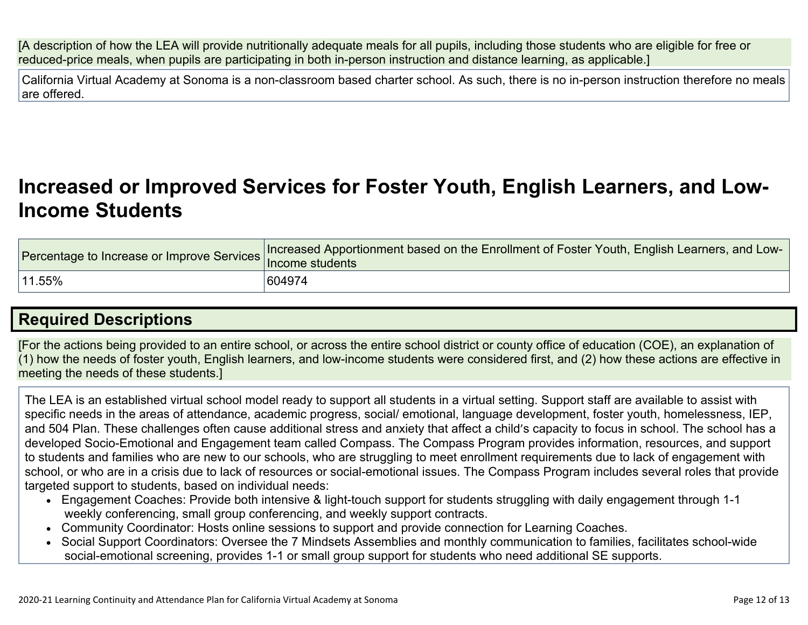[A description of how the LEA will provide nutritionally adequate meals for all pupils, including those students who are eligible for free or reduced-price meals, when pupils are participating in both in-person instruction and distance learning, as applicable.]

California Virtual Academy at Sonoma is a non-classroom based charter school. As such, there is no in-person instruction therefore no meals are offered.

### **[Increased](http://www.doc-tracking.com/screenshots/20LCP/Instructions/20LCPInstructions.htm#IncreasedorImprovedServices) or Improved Services for Foster Youth, English Learners, and Low-Income [Students](http://www.doc-tracking.com/screenshots/20LCP/Instructions/20LCPInstructions.htm#IncreasedorImprovedServices)**

|        | Percentage to Increase or Improve Services Increased Apportionment based on the Enrollment of Foster Youth, English Learners, and Low- |
|--------|----------------------------------------------------------------------------------------------------------------------------------------|
| 11.55% | 604974                                                                                                                                 |

### **Required [Descriptions](http://www.doc-tracking.com/screenshots/20LCP/Instructions/20LCPInstructions.htm#RequiredDescriptions)**

[For the actions being provided to an entire school, or across the entire school district or county office of education (COE), an explanation of (1) how the needs of foster youth, English learners, and low-income students were considered first, and (2) how these actions are effective in meeting the needs of these students.]

The LEA is an established virtual school model ready to support all students in a virtual setting. Support staff are available to assist with specific needs in the areas of attendance, academic progress, social/ emotional, language development, foster youth, homelessness, IEP, and 504 Plan. These challenges often cause additional stress and anxiety that affect a child's capacity to focus in school. The school has a developed Socio-Emotional and Engagement team called Compass. The Compass Program provides information, resources, and support to students and families who are new to our schools, who are struggling to meet enrollment requirements due to lack of engagement with school, or who are in a crisis due to lack of resources or social-emotional issues. The Compass Program includes several roles that provide targeted support to students, based on individual needs:

- Engagement Coaches: Provide both intensive & light-touch support for students struggling with daily engagement through 1-1 weekly conferencing, small group conferencing, and weekly support contracts.
- Community Coordinator: Hosts online sessions to support and provide connection for Learning Coaches.
- Social Support Coordinators: Oversee the 7 Mindsets Assemblies and monthly communication to families, facilitates school-wide social-emotional screening, provides 1-1 or small group support for students who need additional SE supports.